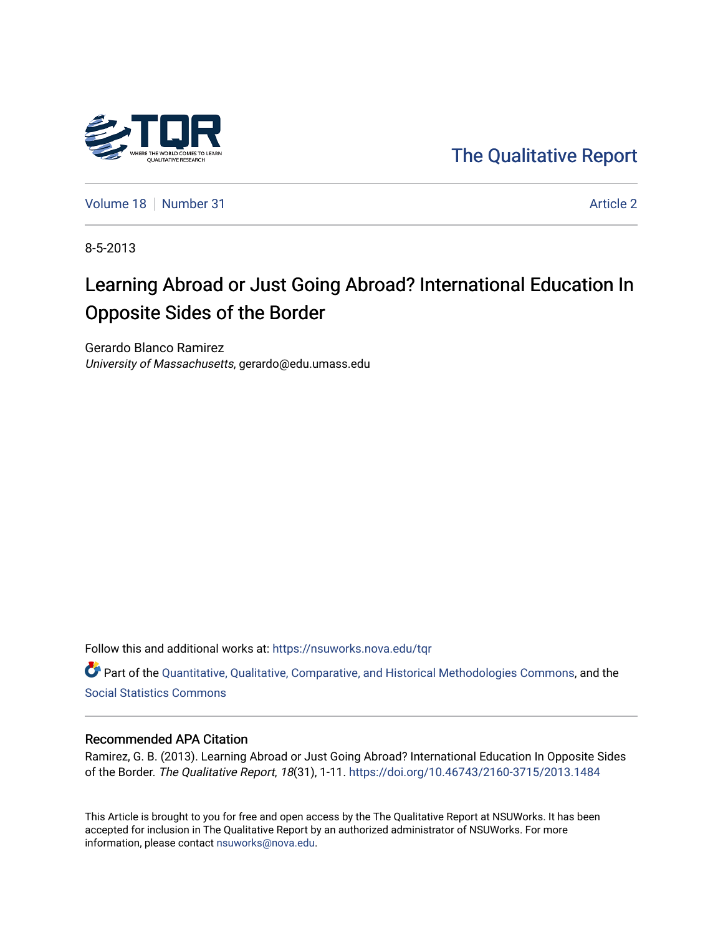

[The Qualitative Report](https://nsuworks.nova.edu/tqr) 

[Volume 18](https://nsuworks.nova.edu/tqr/vol18) [Number 31](https://nsuworks.nova.edu/tqr/vol18/iss31) Article 2

8-5-2013

# Learning Abroad or Just Going Abroad? International Education In Opposite Sides of the Border

Gerardo Blanco Ramirez University of Massachusetts, gerardo@edu.umass.edu

Follow this and additional works at: [https://nsuworks.nova.edu/tqr](https://nsuworks.nova.edu/tqr?utm_source=nsuworks.nova.edu%2Ftqr%2Fvol18%2Fiss31%2F2&utm_medium=PDF&utm_campaign=PDFCoverPages) 

Part of the [Quantitative, Qualitative, Comparative, and Historical Methodologies Commons,](http://network.bepress.com/hgg/discipline/423?utm_source=nsuworks.nova.edu%2Ftqr%2Fvol18%2Fiss31%2F2&utm_medium=PDF&utm_campaign=PDFCoverPages) and the [Social Statistics Commons](http://network.bepress.com/hgg/discipline/1275?utm_source=nsuworks.nova.edu%2Ftqr%2Fvol18%2Fiss31%2F2&utm_medium=PDF&utm_campaign=PDFCoverPages) 

#### Recommended APA Citation

Ramirez, G. B. (2013). Learning Abroad or Just Going Abroad? International Education In Opposite Sides of the Border. The Qualitative Report, 18(31), 1-11. <https://doi.org/10.46743/2160-3715/2013.1484>

This Article is brought to you for free and open access by the The Qualitative Report at NSUWorks. It has been accepted for inclusion in The Qualitative Report by an authorized administrator of NSUWorks. For more information, please contact [nsuworks@nova.edu.](mailto:nsuworks@nova.edu)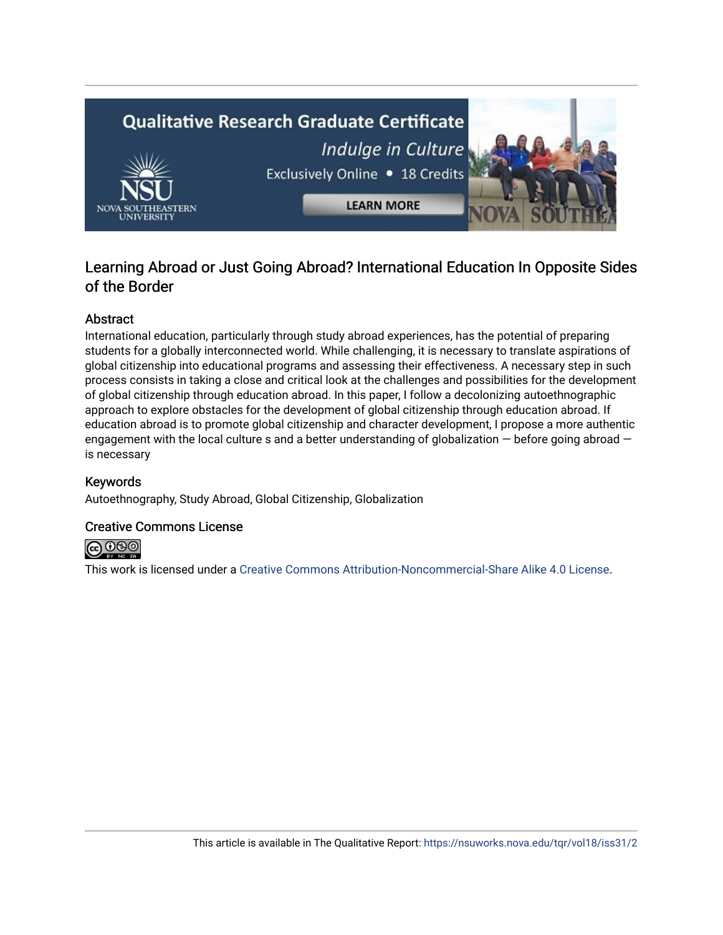

# Learning Abroad or Just Going Abroad? International Education In Opposite Sides of the Border

# Abstract

International education, particularly through study abroad experiences, has the potential of preparing students for a globally interconnected world. While challenging, it is necessary to translate aspirations of global citizenship into educational programs and assessing their effectiveness. A necessary step in such process consists in taking a close and critical look at the challenges and possibilities for the development of global citizenship through education abroad. In this paper, I follow a decolonizing autoethnographic approach to explore obstacles for the development of global citizenship through education abroad. If education abroad is to promote global citizenship and character development, I propose a more authentic engagement with the local culture s and a better understanding of globalization — before going abroad is necessary

# Keywords

Autoethnography, Study Abroad, Global Citizenship, Globalization

## Creative Commons License



This work is licensed under a [Creative Commons Attribution-Noncommercial-Share Alike 4.0 License](https://creativecommons.org/licenses/by-nc-sa/4.0/).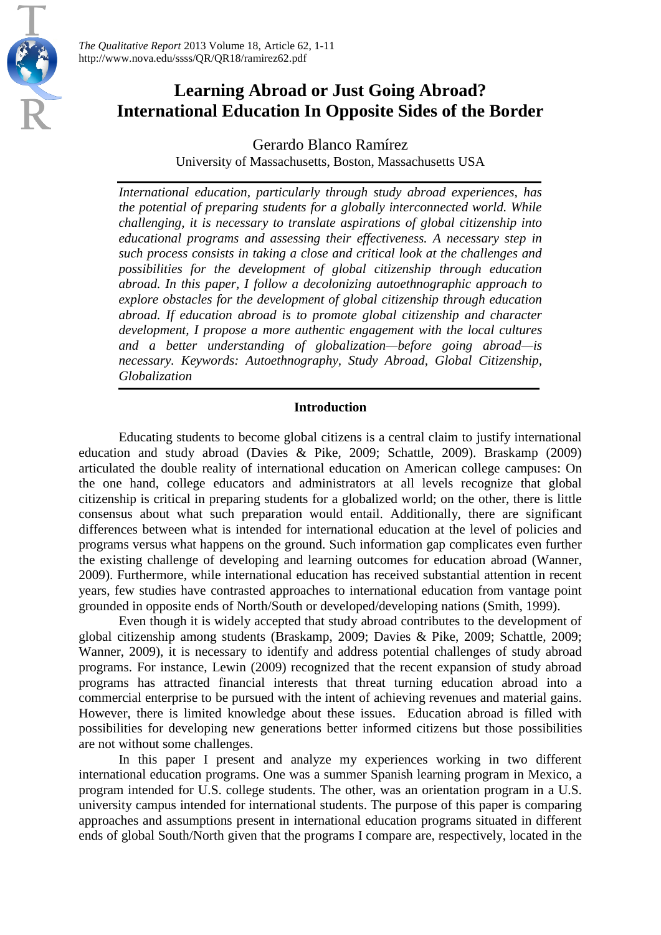

*The Qualitative Report* 2013 Volume 18, Article 62, 1-11 http://www.nova.edu/ssss/QR/QR18/ramirez62.pdf

# **Learning Abroad or Just Going Abroad? International Education In Opposite Sides of the Border**

Gerardo Blanco Ramírez University of Massachusetts, Boston, Massachusetts USA

*International education, particularly through study abroad experiences, has the potential of preparing students for a globally interconnected world. While challenging, it is necessary to translate aspirations of global citizenship into educational programs and assessing their effectiveness. A necessary step in such process consists in taking a close and critical look at the challenges and possibilities for the development of global citizenship through education abroad. In this paper, I follow a decolonizing autoethnographic approach to explore obstacles for the development of global citizenship through education abroad. If education abroad is to promote global citizenship and character development, I propose a more authentic engagement with the local cultures and a better understanding of globalization—before going abroad—is necessary. Keywords: Autoethnography, Study Abroad, Global Citizenship, Globalization*

### **Introduction**

Educating students to become global citizens is a central claim to justify international education and study abroad (Davies & Pike, 2009; Schattle, 2009). Braskamp (2009) articulated the double reality of international education on American college campuses: On the one hand, college educators and administrators at all levels recognize that global citizenship is critical in preparing students for a globalized world; on the other, there is little consensus about what such preparation would entail. Additionally, there are significant differences between what is intended for international education at the level of policies and programs versus what happens on the ground. Such information gap complicates even further the existing challenge of developing and learning outcomes for education abroad (Wanner, 2009). Furthermore, while international education has received substantial attention in recent years, few studies have contrasted approaches to international education from vantage point grounded in opposite ends of North/South or developed/developing nations (Smith, 1999).

Even though it is widely accepted that study abroad contributes to the development of global citizenship among students (Braskamp, 2009; Davies & Pike, 2009; Schattle, 2009; Wanner, 2009), it is necessary to identify and address potential challenges of study abroad programs. For instance, Lewin (2009) recognized that the recent expansion of study abroad programs has attracted financial interests that threat turning education abroad into a commercial enterprise to be pursued with the intent of achieving revenues and material gains. However, there is limited knowledge about these issues. Education abroad is filled with possibilities for developing new generations better informed citizens but those possibilities are not without some challenges.

In this paper I present and analyze my experiences working in two different international education programs. One was a summer Spanish learning program in Mexico, a program intended for U.S. college students. The other, was an orientation program in a U.S. university campus intended for international students. The purpose of this paper is comparing approaches and assumptions present in international education programs situated in different ends of global South/North given that the programs I compare are, respectively, located in the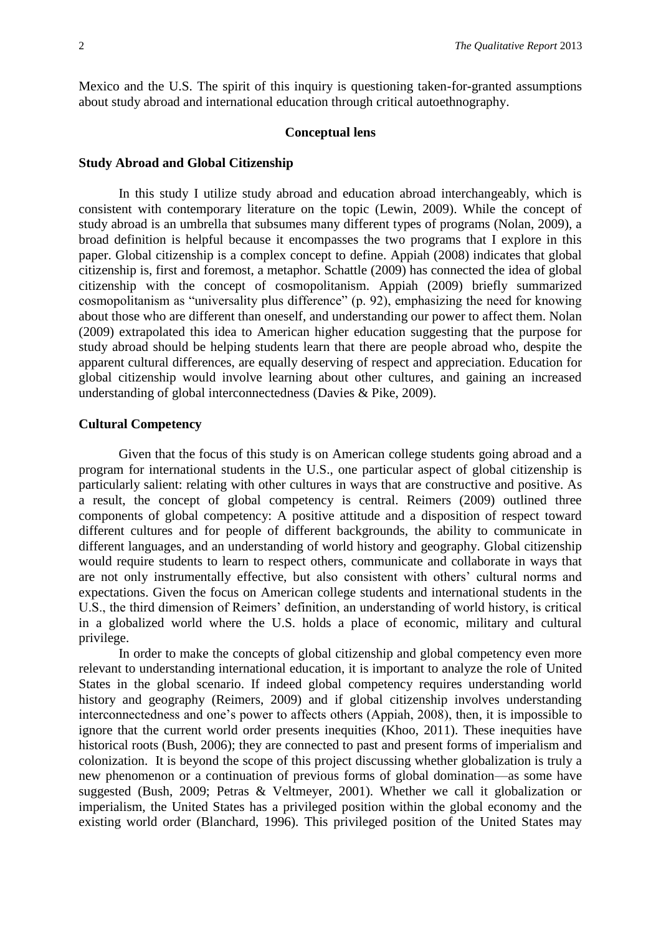Mexico and the U.S. The spirit of this inquiry is questioning taken-for-granted assumptions about study abroad and international education through critical autoethnography.

#### **Conceptual lens**

#### **Study Abroad and Global Citizenship**

In this study I utilize study abroad and education abroad interchangeably, which is consistent with contemporary literature on the topic (Lewin, 2009). While the concept of study abroad is an umbrella that subsumes many different types of programs (Nolan, 2009), a broad definition is helpful because it encompasses the two programs that I explore in this paper. Global citizenship is a complex concept to define. Appiah (2008) indicates that global citizenship is, first and foremost, a metaphor. Schattle (2009) has connected the idea of global citizenship with the concept of cosmopolitanism. Appiah (2009) briefly summarized cosmopolitanism as "universality plus difference" (p. 92), emphasizing the need for knowing about those who are different than oneself, and understanding our power to affect them. Nolan (2009) extrapolated this idea to American higher education suggesting that the purpose for study abroad should be helping students learn that there are people abroad who, despite the apparent cultural differences, are equally deserving of respect and appreciation. Education for global citizenship would involve learning about other cultures, and gaining an increased understanding of global interconnectedness (Davies & Pike, 2009).

#### **Cultural Competency**

Given that the focus of this study is on American college students going abroad and a program for international students in the U.S., one particular aspect of global citizenship is particularly salient: relating with other cultures in ways that are constructive and positive. As a result, the concept of global competency is central. Reimers (2009) outlined three components of global competency: A positive attitude and a disposition of respect toward different cultures and for people of different backgrounds, the ability to communicate in different languages, and an understanding of world history and geography. Global citizenship would require students to learn to respect others, communicate and collaborate in ways that are not only instrumentally effective, but also consistent with others' cultural norms and expectations. Given the focus on American college students and international students in the U.S., the third dimension of Reimers' definition, an understanding of world history, is critical in a globalized world where the U.S. holds a place of economic, military and cultural privilege.

In order to make the concepts of global citizenship and global competency even more relevant to understanding international education, it is important to analyze the role of United States in the global scenario. If indeed global competency requires understanding world history and geography (Reimers, 2009) and if global citizenship involves understanding interconnectedness and one's power to affects others (Appiah, 2008), then, it is impossible to ignore that the current world order presents inequities (Khoo, 2011). These inequities have historical roots (Bush, 2006); they are connected to past and present forms of imperialism and colonization. It is beyond the scope of this project discussing whether globalization is truly a new phenomenon or a continuation of previous forms of global domination—as some have suggested (Bush, 2009; Petras & Veltmeyer, 2001). Whether we call it globalization or imperialism, the United States has a privileged position within the global economy and the existing world order (Blanchard, 1996). This privileged position of the United States may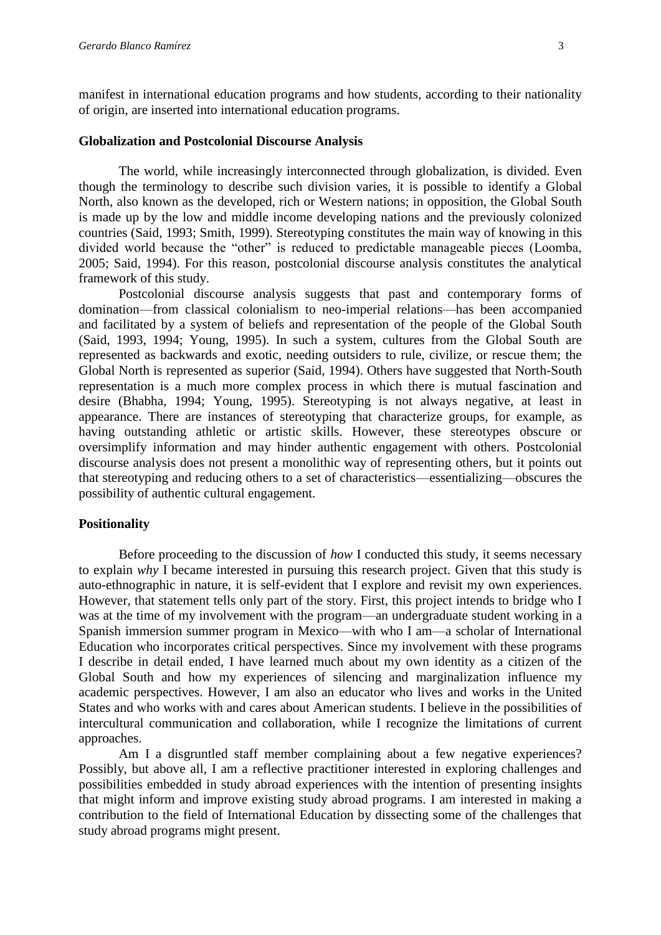manifest in international education programs and how students, according to their nationality of origin, are inserted into international education programs.

#### **Globalization and Postcolonial Discourse Analysis**

The world, while increasingly interconnected through globalization, is divided. Even though the terminology to describe such division varies, it is possible to identify a Global North, also known as the developed, rich or Western nations; in opposition, the Global South is made up by the low and middle income developing nations and the previously colonized countries (Said, 1993; Smith, 1999). Stereotyping constitutes the main way of knowing in this divided world because the "other" is reduced to predictable manageable pieces (Loomba, 2005; Said, 1994). For this reason, postcolonial discourse analysis constitutes the analytical framework of this study.

Postcolonial discourse analysis suggests that past and contemporary forms of domination—from classical colonialism to neo-imperial relations—has been accompanied and facilitated by a system of beliefs and representation of the people of the Global South (Said, 1993, 1994; Young, 1995). In such a system, cultures from the Global South are represented as backwards and exotic, needing outsiders to rule, civilize, or rescue them; the Global North is represented as superior (Said, 1994). Others have suggested that North-South representation is a much more complex process in which there is mutual fascination and desire (Bhabha, 1994; Young, 1995). Stereotyping is not always negative, at least in appearance. There are instances of stereotyping that characterize groups, for example, as having outstanding athletic or artistic skills. However, these stereotypes obscure or oversimplify information and may hinder authentic engagement with others. Postcolonial discourse analysis does not present a monolithic way of representing others, but it points out that stereotyping and reducing others to a set of characteristics—essentializing—obscures the possibility of authentic cultural engagement.

#### **Positionality**

Before proceeding to the discussion of *how* I conducted this study, it seems necessary to explain *why* I became interested in pursuing this research project. Given that this study is auto-ethnographic in nature, it is self-evident that I explore and revisit my own experiences. However, that statement tells only part of the story. First, this project intends to bridge who I was at the time of my involvement with the program—an undergraduate student working in a Spanish immersion summer program in Mexico—with who I am—a scholar of International Education who incorporates critical perspectives. Since my involvement with these programs I describe in detail ended, I have learned much about my own identity as a citizen of the Global South and how my experiences of silencing and marginalization influence my academic perspectives. However, I am also an educator who lives and works in the United States and who works with and cares about American students. I believe in the possibilities of intercultural communication and collaboration, while I recognize the limitations of current approaches.

Am I a disgruntled staff member complaining about a few negative experiences? Possibly, but above all, I am a reflective practitioner interested in exploring challenges and possibilities embedded in study abroad experiences with the intention of presenting insights that might inform and improve existing study abroad programs. I am interested in making a contribution to the field of International Education by dissecting some of the challenges that study abroad programs might present.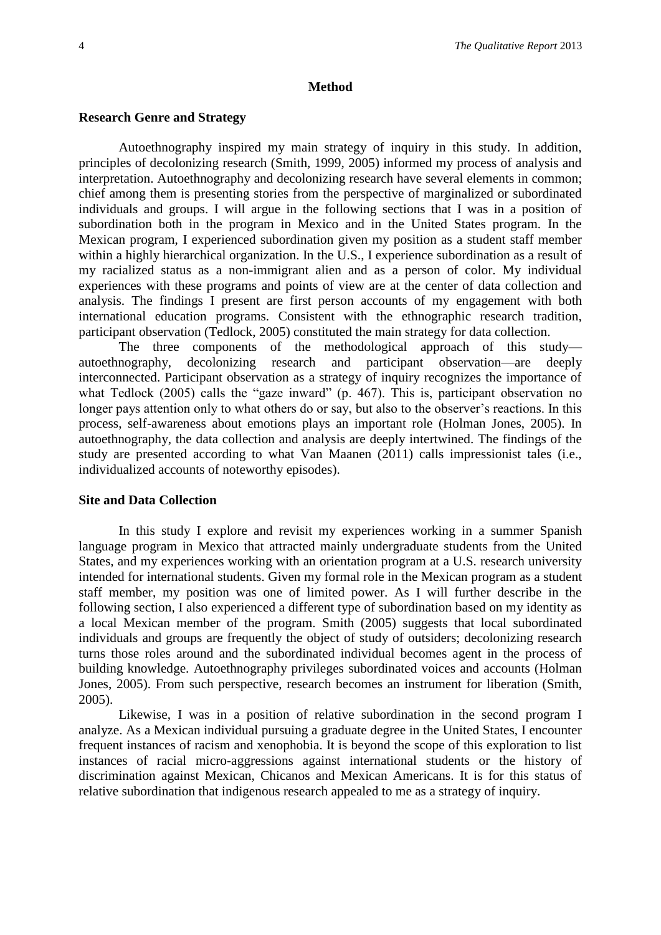#### **Method**

#### **Research Genre and Strategy**

Autoethnography inspired my main strategy of inquiry in this study. In addition, principles of decolonizing research (Smith, 1999, 2005) informed my process of analysis and interpretation. Autoethnography and decolonizing research have several elements in common; chief among them is presenting stories from the perspective of marginalized or subordinated individuals and groups. I will argue in the following sections that I was in a position of subordination both in the program in Mexico and in the United States program. In the Mexican program, I experienced subordination given my position as a student staff member within a highly hierarchical organization. In the U.S., I experience subordination as a result of my racialized status as a non-immigrant alien and as a person of color. My individual experiences with these programs and points of view are at the center of data collection and analysis. The findings I present are first person accounts of my engagement with both international education programs. Consistent with the ethnographic research tradition, participant observation (Tedlock, 2005) constituted the main strategy for data collection.

The three components of the methodological approach of this study autoethnography, decolonizing research and participant observation—are deeply interconnected. Participant observation as a strategy of inquiry recognizes the importance of what Tedlock (2005) calls the "gaze inward" (p. 467). This is, participant observation no longer pays attention only to what others do or say, but also to the observer's reactions. In this process, self-awareness about emotions plays an important role (Holman Jones, 2005). In autoethnography, the data collection and analysis are deeply intertwined. The findings of the study are presented according to what Van Maanen (2011) calls impressionist tales (i.e., individualized accounts of noteworthy episodes).

#### **Site and Data Collection**

In this study I explore and revisit my experiences working in a summer Spanish language program in Mexico that attracted mainly undergraduate students from the United States, and my experiences working with an orientation program at a U.S. research university intended for international students. Given my formal role in the Mexican program as a student staff member, my position was one of limited power. As I will further describe in the following section, I also experienced a different type of subordination based on my identity as a local Mexican member of the program. Smith (2005) suggests that local subordinated individuals and groups are frequently the object of study of outsiders; decolonizing research turns those roles around and the subordinated individual becomes agent in the process of building knowledge. Autoethnography privileges subordinated voices and accounts (Holman Jones, 2005). From such perspective, research becomes an instrument for liberation (Smith, 2005).

Likewise, I was in a position of relative subordination in the second program I analyze. As a Mexican individual pursuing a graduate degree in the United States, I encounter frequent instances of racism and xenophobia. It is beyond the scope of this exploration to list instances of racial micro-aggressions against international students or the history of discrimination against Mexican, Chicanos and Mexican Americans. It is for this status of relative subordination that indigenous research appealed to me as a strategy of inquiry.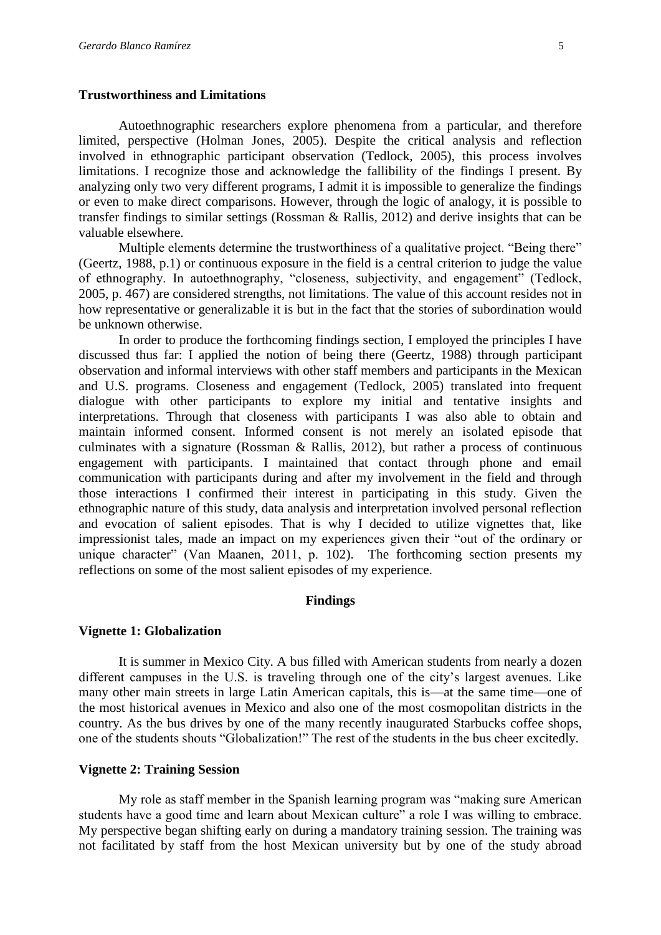#### **Trustworthiness and Limitations**

Autoethnographic researchers explore phenomena from a particular, and therefore limited, perspective (Holman Jones, 2005). Despite the critical analysis and reflection involved in ethnographic participant observation (Tedlock, 2005), this process involves limitations. I recognize those and acknowledge the fallibility of the findings I present. By analyzing only two very different programs, I admit it is impossible to generalize the findings or even to make direct comparisons. However, through the logic of analogy, it is possible to transfer findings to similar settings (Rossman & Rallis, 2012) and derive insights that can be valuable elsewhere.

Multiple elements determine the trustworthiness of a qualitative project. "Being there" (Geertz, 1988, p.1) or continuous exposure in the field is a central criterion to judge the value of ethnography. In autoethnography, "closeness, subjectivity, and engagement" (Tedlock, 2005, p. 467) are considered strengths, not limitations. The value of this account resides not in how representative or generalizable it is but in the fact that the stories of subordination would be unknown otherwise.

In order to produce the forthcoming findings section, I employed the principles I have discussed thus far: I applied the notion of being there (Geertz, 1988) through participant observation and informal interviews with other staff members and participants in the Mexican and U.S. programs. Closeness and engagement (Tedlock, 2005) translated into frequent dialogue with other participants to explore my initial and tentative insights and interpretations. Through that closeness with participants I was also able to obtain and maintain informed consent. Informed consent is not merely an isolated episode that culminates with a signature (Rossman & Rallis, 2012), but rather a process of continuous engagement with participants. I maintained that contact through phone and email communication with participants during and after my involvement in the field and through those interactions I confirmed their interest in participating in this study. Given the ethnographic nature of this study, data analysis and interpretation involved personal reflection and evocation of salient episodes. That is why I decided to utilize vignettes that, like impressionist tales, made an impact on my experiences given their "out of the ordinary or unique character" (Van Maanen, 2011, p. 102). The forthcoming section presents my reflections on some of the most salient episodes of my experience.

#### **Findings**

#### **Vignette 1: Globalization**

It is summer in Mexico City. A bus filled with American students from nearly a dozen different campuses in the U.S. is traveling through one of the city's largest avenues. Like many other main streets in large Latin American capitals, this is—at the same time—one of the most historical avenues in Mexico and also one of the most cosmopolitan districts in the country. As the bus drives by one of the many recently inaugurated Starbucks coffee shops, one of the students shouts "Globalization!" The rest of the students in the bus cheer excitedly.

#### **Vignette 2: Training Session**

My role as staff member in the Spanish learning program was "making sure American students have a good time and learn about Mexican culture" a role I was willing to embrace. My perspective began shifting early on during a mandatory training session. The training was not facilitated by staff from the host Mexican university but by one of the study abroad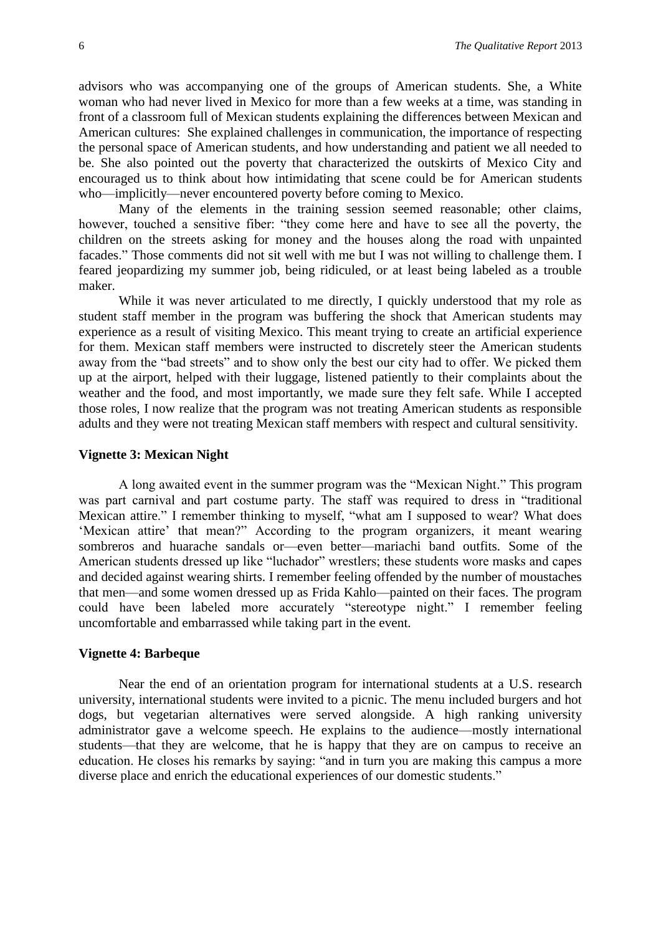advisors who was accompanying one of the groups of American students. She, a White woman who had never lived in Mexico for more than a few weeks at a time, was standing in front of a classroom full of Mexican students explaining the differences between Mexican and American cultures: She explained challenges in communication, the importance of respecting the personal space of American students, and how understanding and patient we all needed to be. She also pointed out the poverty that characterized the outskirts of Mexico City and encouraged us to think about how intimidating that scene could be for American students who—implicitly—never encountered poverty before coming to Mexico.

Many of the elements in the training session seemed reasonable; other claims, however, touched a sensitive fiber: "they come here and have to see all the poverty, the children on the streets asking for money and the houses along the road with unpainted facades." Those comments did not sit well with me but I was not willing to challenge them. I feared jeopardizing my summer job, being ridiculed, or at least being labeled as a trouble maker.

While it was never articulated to me directly, I quickly understood that my role as student staff member in the program was buffering the shock that American students may experience as a result of visiting Mexico. This meant trying to create an artificial experience for them. Mexican staff members were instructed to discretely steer the American students away from the "bad streets" and to show only the best our city had to offer. We picked them up at the airport, helped with their luggage, listened patiently to their complaints about the weather and the food, and most importantly, we made sure they felt safe. While I accepted those roles, I now realize that the program was not treating American students as responsible adults and they were not treating Mexican staff members with respect and cultural sensitivity.

#### **Vignette 3: Mexican Night**

A long awaited event in the summer program was the "Mexican Night." This program was part carnival and part costume party. The staff was required to dress in "traditional Mexican attire." I remember thinking to myself, "what am I supposed to wear? What does 'Mexican attire' that mean?" According to the program organizers, it meant wearing sombreros and huarache sandals or—even better—mariachi band outfits. Some of the American students dressed up like "luchador" wrestlers; these students wore masks and capes and decided against wearing shirts. I remember feeling offended by the number of moustaches that men—and some women dressed up as Frida Kahlo—painted on their faces. The program could have been labeled more accurately "stereotype night." I remember feeling uncomfortable and embarrassed while taking part in the event.

#### **Vignette 4: Barbeque**

Near the end of an orientation program for international students at a U.S. research university, international students were invited to a picnic. The menu included burgers and hot dogs, but vegetarian alternatives were served alongside. A high ranking university administrator gave a welcome speech. He explains to the audience—mostly international students—that they are welcome, that he is happy that they are on campus to receive an education. He closes his remarks by saying: "and in turn you are making this campus a more diverse place and enrich the educational experiences of our domestic students."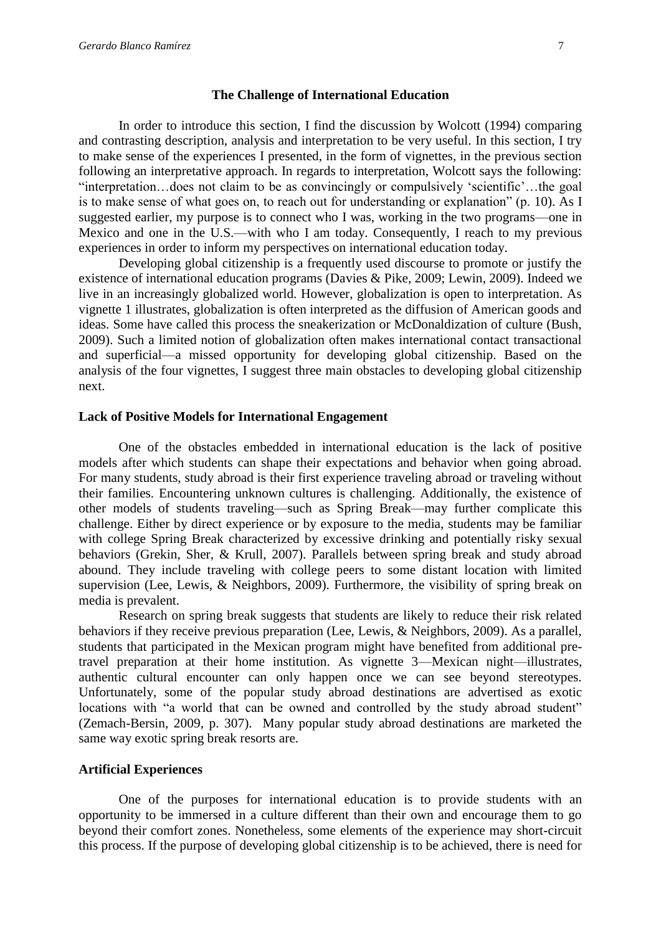#### **The Challenge of International Education**

In order to introduce this section, I find the discussion by Wolcott (1994) comparing and contrasting description, analysis and interpretation to be very useful. In this section, I try to make sense of the experiences I presented, in the form of vignettes, in the previous section following an interpretative approach. In regards to interpretation, Wolcott says the following: "interpretation…does not claim to be as convincingly or compulsively 'scientific'…the goal is to make sense of what goes on, to reach out for understanding or explanation" (p. 10). As I suggested earlier, my purpose is to connect who I was, working in the two programs—one in Mexico and one in the U.S.—with who I am today. Consequently, I reach to my previous experiences in order to inform my perspectives on international education today.

Developing global citizenship is a frequently used discourse to promote or justify the existence of international education programs (Davies & Pike, 2009; Lewin, 2009). Indeed we live in an increasingly globalized world. However, globalization is open to interpretation. As vignette 1 illustrates, globalization is often interpreted as the diffusion of American goods and ideas. Some have called this process the sneakerization or McDonaldization of culture (Bush, 2009). Such a limited notion of globalization often makes international contact transactional and superficial—a missed opportunity for developing global citizenship. Based on the analysis of the four vignettes, I suggest three main obstacles to developing global citizenship next.

#### **Lack of Positive Models for International Engagement**

One of the obstacles embedded in international education is the lack of positive models after which students can shape their expectations and behavior when going abroad. For many students, study abroad is their first experience traveling abroad or traveling without their families. Encountering unknown cultures is challenging. Additionally, the existence of other models of students traveling—such as Spring Break—may further complicate this challenge. Either by direct experience or by exposure to the media, students may be familiar with college Spring Break characterized by excessive drinking and potentially risky sexual behaviors (Grekin, Sher, & Krull, 2007). Parallels between spring break and study abroad abound. They include traveling with college peers to some distant location with limited supervision (Lee, Lewis, & Neighbors, 2009). Furthermore, the visibility of spring break on media is prevalent.

Research on spring break suggests that students are likely to reduce their risk related behaviors if they receive previous preparation (Lee, Lewis, & Neighbors, 2009). As a parallel, students that participated in the Mexican program might have benefited from additional pretravel preparation at their home institution. As vignette 3—Mexican night—illustrates, authentic cultural encounter can only happen once we can see beyond stereotypes. Unfortunately, some of the popular study abroad destinations are advertised as exotic locations with "a world that can be owned and controlled by the study abroad student" (Zemach-Bersin, 2009, p. 307). Many popular study abroad destinations are marketed the same way exotic spring break resorts are.

#### **Artificial Experiences**

One of the purposes for international education is to provide students with an opportunity to be immersed in a culture different than their own and encourage them to go beyond their comfort zones. Nonetheless, some elements of the experience may short-circuit this process. If the purpose of developing global citizenship is to be achieved, there is need for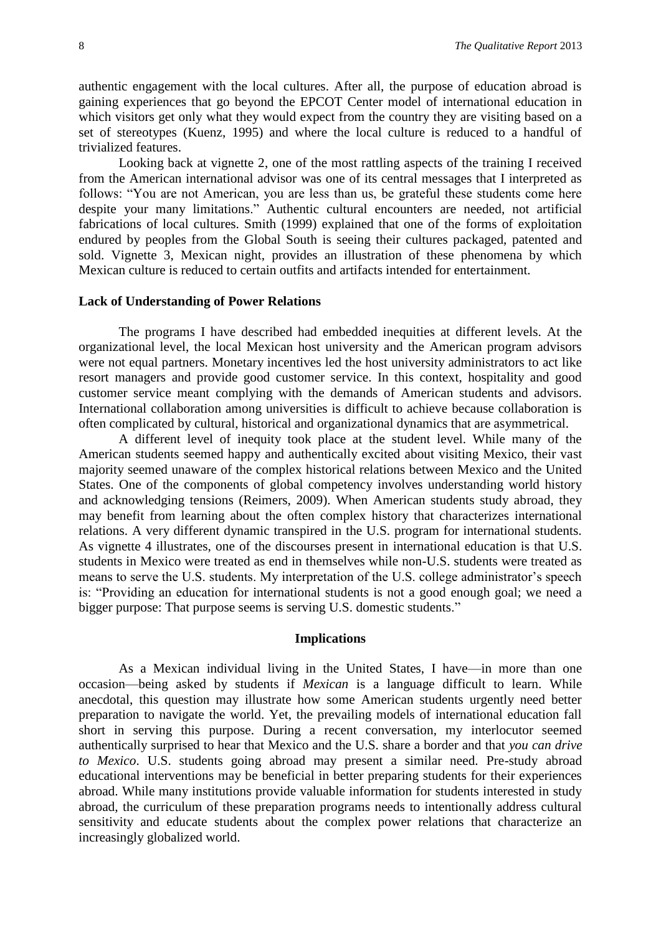authentic engagement with the local cultures. After all, the purpose of education abroad is gaining experiences that go beyond the EPCOT Center model of international education in which visitors get only what they would expect from the country they are visiting based on a set of stereotypes (Kuenz, 1995) and where the local culture is reduced to a handful of trivialized features.

Looking back at vignette 2, one of the most rattling aspects of the training I received from the American international advisor was one of its central messages that I interpreted as follows: "You are not American, you are less than us, be grateful these students come here despite your many limitations." Authentic cultural encounters are needed, not artificial fabrications of local cultures. Smith (1999) explained that one of the forms of exploitation endured by peoples from the Global South is seeing their cultures packaged, patented and sold. Vignette 3, Mexican night, provides an illustration of these phenomena by which Mexican culture is reduced to certain outfits and artifacts intended for entertainment.

#### **Lack of Understanding of Power Relations**

The programs I have described had embedded inequities at different levels. At the organizational level, the local Mexican host university and the American program advisors were not equal partners. Monetary incentives led the host university administrators to act like resort managers and provide good customer service. In this context, hospitality and good customer service meant complying with the demands of American students and advisors. International collaboration among universities is difficult to achieve because collaboration is often complicated by cultural, historical and organizational dynamics that are asymmetrical.

A different level of inequity took place at the student level. While many of the American students seemed happy and authentically excited about visiting Mexico, their vast majority seemed unaware of the complex historical relations between Mexico and the United States. One of the components of global competency involves understanding world history and acknowledging tensions (Reimers, 2009). When American students study abroad, they may benefit from learning about the often complex history that characterizes international relations. A very different dynamic transpired in the U.S. program for international students. As vignette 4 illustrates, one of the discourses present in international education is that U.S. students in Mexico were treated as end in themselves while non-U.S. students were treated as means to serve the U.S. students. My interpretation of the U.S. college administrator's speech is: "Providing an education for international students is not a good enough goal; we need a bigger purpose: That purpose seems is serving U.S. domestic students."

#### **Implications**

As a Mexican individual living in the United States, I have—in more than one occasion—being asked by students if *Mexican* is a language difficult to learn. While anecdotal, this question may illustrate how some American students urgently need better preparation to navigate the world. Yet, the prevailing models of international education fall short in serving this purpose. During a recent conversation, my interlocutor seemed authentically surprised to hear that Mexico and the U.S. share a border and that *you can drive to Mexico*. U.S. students going abroad may present a similar need. Pre-study abroad educational interventions may be beneficial in better preparing students for their experiences abroad. While many institutions provide valuable information for students interested in study abroad, the curriculum of these preparation programs needs to intentionally address cultural sensitivity and educate students about the complex power relations that characterize an increasingly globalized world.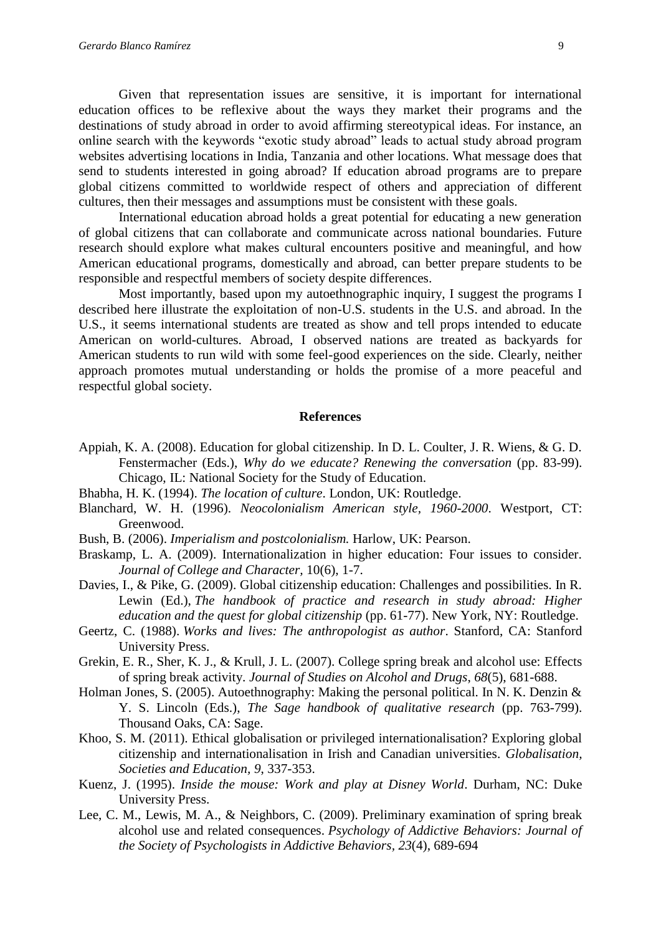Given that representation issues are sensitive, it is important for international education offices to be reflexive about the ways they market their programs and the destinations of study abroad in order to avoid affirming stereotypical ideas. For instance, an online search with the keywords "exotic study abroad" leads to actual study abroad program websites advertising locations in India, Tanzania and other locations. What message does that send to students interested in going abroad? If education abroad programs are to prepare global citizens committed to worldwide respect of others and appreciation of different cultures, then their messages and assumptions must be consistent with these goals.

International education abroad holds a great potential for educating a new generation of global citizens that can collaborate and communicate across national boundaries. Future research should explore what makes cultural encounters positive and meaningful, and how American educational programs, domestically and abroad, can better prepare students to be responsible and respectful members of society despite differences.

Most importantly, based upon my autoethnographic inquiry, I suggest the programs I described here illustrate the exploitation of non-U.S. students in the U.S. and abroad. In the U.S., it seems international students are treated as show and tell props intended to educate American on world-cultures. Abroad, I observed nations are treated as backyards for American students to run wild with some feel-good experiences on the side. Clearly, neither approach promotes mutual understanding or holds the promise of a more peaceful and respectful global society.

#### **References**

- Appiah, K. A. (2008). Education for global citizenship. In D. L. Coulter, J. R. Wiens, & G. D. Fenstermacher (Eds.), *Why do we educate? Renewing the conversation* (pp. 83-99). Chicago, IL: National Society for the Study of Education.
- Bhabha, H. K. (1994). *The location of culture*. London, UK: Routledge.
- Blanchard, W. H. (1996). *Neocolonialism American style, 1960-2000*. Westport, CT: Greenwood.
- Bush, B. (2006). *Imperialism and postcolonialism.* Harlow, UK: Pearson.
- Braskamp, L. A. (2009). Internationalization in higher education: Four issues to consider. *Journal of College and Character,* 10(6), 1-7.
- Davies, I., & Pike, G. (2009). Global citizenship education: Challenges and possibilities. In R. Lewin (Ed.), *The handbook of practice and research in study abroad: Higher education and the quest for global citizenship* (pp. 61-77). New York, NY: Routledge.
- Geertz, C. (1988). *Works and lives: The anthropologist as author*. Stanford, CA: Stanford University Press.
- Grekin, E. R., Sher, K. J., & Krull, J. L. (2007). College spring break and alcohol use: Effects of spring break activity. *Journal of Studies on Alcohol and Drugs*, *68*(5), 681-688.
- Holman Jones, S. (2005). Autoethnography: Making the personal political. In N. K. Denzin & Y. S. Lincoln (Eds.), *The Sage handbook of qualitative research* (pp. 763-799). Thousand Oaks, CA: Sage.
- Khoo, S. M. (2011). Ethical globalisation or privileged internationalisation? Exploring global citizenship and internationalisation in Irish and Canadian universities. *Globalisation, Societies and Education, 9*, 337-353.
- Kuenz, J. (1995). *Inside the mouse: Work and play at Disney World*. Durham, NC: Duke University Press.
- Lee, C. M., Lewis, M. A., & Neighbors, C. (2009). Preliminary examination of spring break alcohol use and related consequences. *Psychology of Addictive Behaviors: Journal of the Society of Psychologists in Addictive Behaviors, 23*(4), 689-694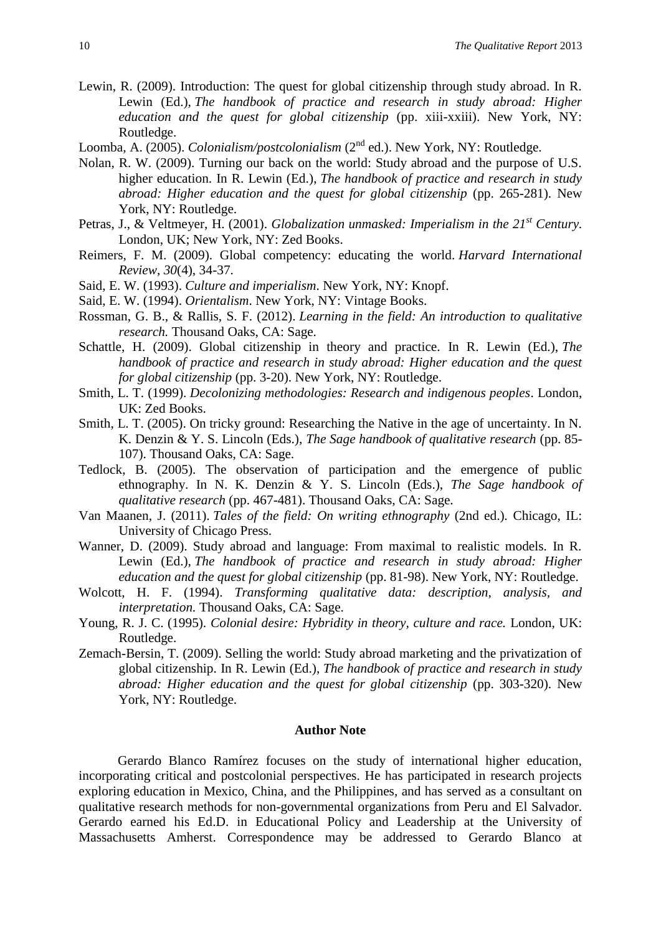- Lewin, R. (2009). Introduction: The quest for global citizenship through study abroad. In R. Lewin (Ed.), *The handbook of practice and research in study abroad: Higher education and the quest for global citizenship* (pp. xiii-xxiii). New York, NY: Routledge.
- Loomba, A. (2005). *Colonialism/postcolonialism* (2<sup>nd</sup> ed.). New York, NY: Routledge.
- Nolan, R. W. (2009). Turning our back on the world: Study abroad and the purpose of U.S. higher education. In R. Lewin (Ed.), *The handbook of practice and research in study abroad: Higher education and the quest for global citizenship (pp. 265-281). New* York, NY: Routledge.
- Petras, J., & Veltmeyer, H. (2001). *Globalization unmasked: Imperialism in the 21st Century.*  London, UK; New York, NY: Zed Books.
- Reimers, F. M. (2009). Global competency: educating the world. *Harvard International Review*, *30*(4), 34-37.
- Said, E. W. (1993). *Culture and imperialism*. New York, NY: Knopf.
- Said, E. W. (1994). *Orientalism*. New York, NY: Vintage Books.
- Rossman, G. B., & Rallis, S. F. (2012). *Learning in the field: An introduction to qualitative research.* Thousand Oaks, CA: Sage.
- Schattle, H. (2009). Global citizenship in theory and practice. In R. Lewin (Ed.), *The handbook of practice and research in study abroad: Higher education and the quest for global citizenship* (pp. 3-20). New York, NY: Routledge.
- Smith, L. T. (1999). *Decolonizing methodologies: Research and indigenous peoples*. London, UK: Zed Books.
- Smith, L. T. (2005). On tricky ground: Researching the Native in the age of uncertainty. In N. K. Denzin & Y. S. Lincoln (Eds.), *The Sage handbook of qualitative research* (pp. 85- 107). Thousand Oaks, CA: Sage.
- Tedlock, B. (2005). The observation of participation and the emergence of public ethnography. In N. K. Denzin & Y. S. Lincoln (Eds.), *The Sage handbook of qualitative research* (pp. 467-481). Thousand Oaks, CA: Sage.
- Van Maanen, J. (2011). *Tales of the field: On writing ethnography* (2nd ed.)*.* Chicago, IL: University of Chicago Press.
- Wanner, D. (2009). Study abroad and language: From maximal to realistic models. In R. Lewin (Ed.), *The handbook of practice and research in study abroad: Higher education and the quest for global citizenship* (pp. 81-98). New York, NY: Routledge.
- Wolcott, H. F. (1994). *Transforming qualitative data: description, analysis, and interpretation.* Thousand Oaks, CA: Sage.
- Young, R. J. C. (1995). *Colonial desire: Hybridity in theory, culture and race.* London, UK: Routledge.
- Zemach-Bersin, T. (2009). Selling the world: Study abroad marketing and the privatization of global citizenship. In R. Lewin (Ed.), *The handbook of practice and research in study abroad: Higher education and the quest for global citizenship (pp. 303-320). New* York, NY: Routledge.

#### **Author Note**

Gerardo Blanco Ramírez focuses on the study of international higher education, incorporating critical and postcolonial perspectives. He has participated in research projects exploring education in Mexico, China, and the Philippines, and has served as a consultant on qualitative research methods for non-governmental organizations from Peru and El Salvador. Gerardo earned his Ed.D. in Educational Policy and Leadership at the University of Massachusetts Amherst. Correspondence may be addressed to Gerardo Blanco at